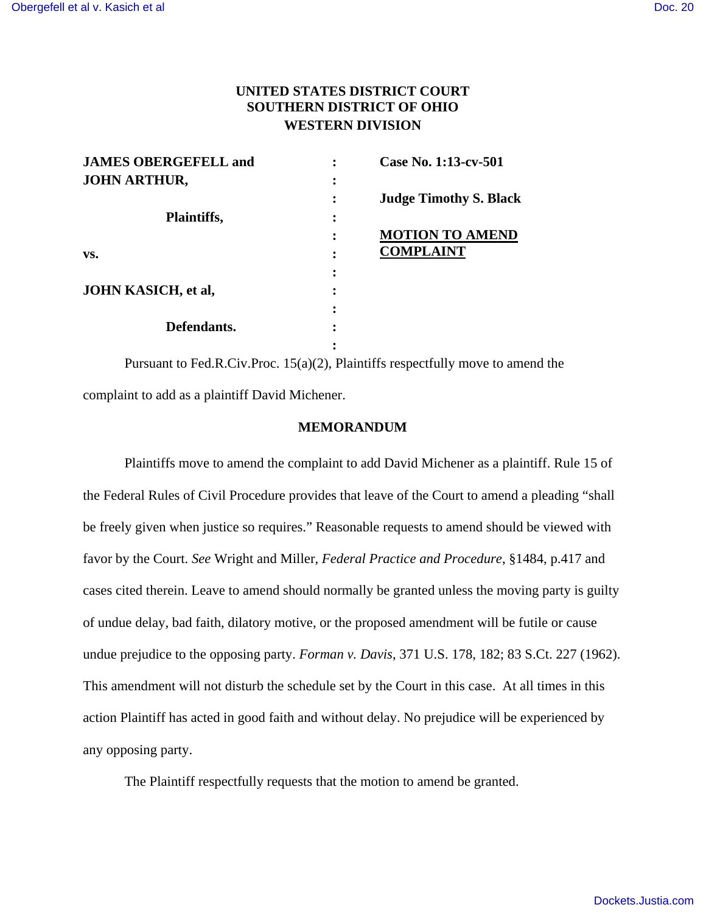## **UNITED STATES DISTRICT COURT SOUTHERN DISTRICT OF OHIO WESTERN DIVISION**

| <b>JAMES OBERGEFELL and</b> |           | Case No. 1:13-cv-501          |
|-----------------------------|-----------|-------------------------------|
| <b>JOHN ARTHUR,</b>         |           |                               |
|                             |           | <b>Judge Timothy S. Black</b> |
| Plaintiffs,                 | $\bullet$ |                               |
|                             |           | <b>MOTION TO AMEND</b>        |
| VS.                         |           | <b>COMPLAINT</b>              |
|                             |           |                               |
| <b>JOHN KASICH, et al,</b>  |           |                               |
|                             |           |                               |
| Defendants.                 |           |                               |
|                             |           |                               |

 Pursuant to Fed.R.Civ.Proc. 15(a)(2), Plaintiffs respectfully move to amend the complaint to add as a plaintiff David Michener.

## **MEMORANDUM**

 Plaintiffs move to amend the complaint to add David Michener as a plaintiff. Rule 15 of the Federal Rules of Civil Procedure provides that leave of the Court to amend a pleading "shall be freely given when justice so requires." Reasonable requests to amend should be viewed with favor by the Court. *See* Wright and Miller, *Federal Practice and Procedure*, §1484, p.417 and cases cited therein. Leave to amend should normally be granted unless the moving party is guilty of undue delay, bad faith, dilatory motive, or the proposed amendment will be futile or cause undue prejudice to the opposing party. *Forman v. Davis*, 371 U.S. 178, 182; 83 S.Ct. 227 (1962). This amendment will not disturb the schedule set by the Court in this case. At all times in this action Plaintiff has acted in good faith and without delay. No prejudice will be experienced by any opposing party.

The Plaintiff respectfully requests that the motion to amend be granted.